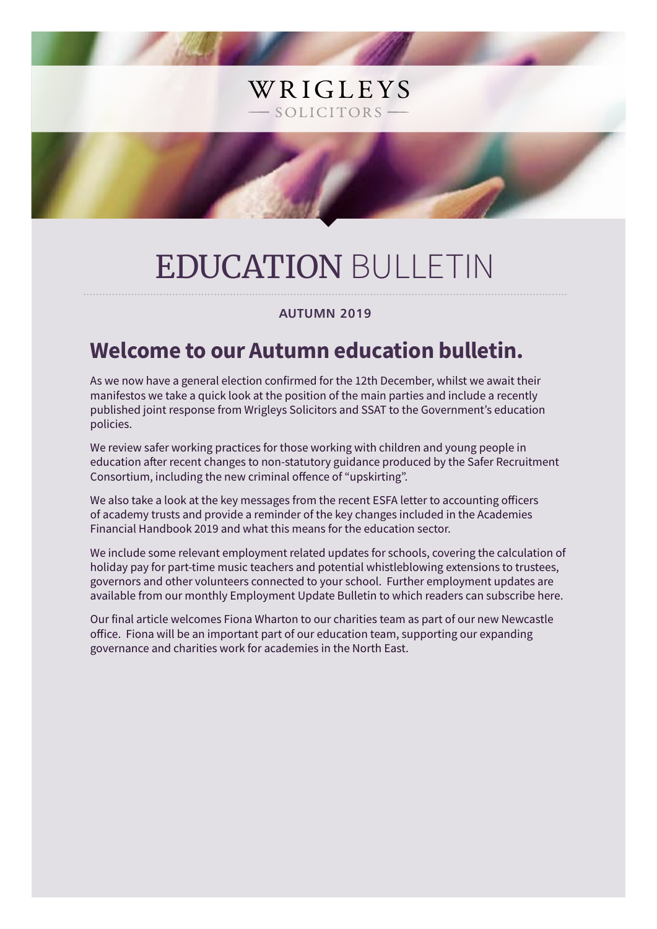# EDUCATION BULLETIN

WRIGLEYS

SOLICITORS-

# **AUTUMN 2019**

# **Welcome to our Autumn education bulletin.**

As we now have a general election confirmed for the 12th December, whilst we await their manifestos we take a quick look at the position of the main parties and include a recently published joint response from Wrigleys Solicitors and SSAT to the Government's education policies.

We review safer working practices for those working with children and young people in education after recent changes to non-statutory guidance produced by the Safer Recruitment Consortium, including the new criminal offence of "upskirting".

We also take a look at the key messages from the recent ESFA letter to accounting officers of academy trusts and provide a reminder of the key changes included in the Academies Financial Handbook 2019 and what this means for the education sector.

We include some relevant employment related updates for schools, covering the calculation of holiday pay for part-time music teachers and potential whistleblowing extensions to trustees, governors and other volunteers connected to your school. Further employment updates are available from our monthly Employment Update Bulletin to which readers can subscribe here.

Our final article welcomes Fiona Wharton to our charities team as part of our new Newcastle office. Fiona will be an important part of our education team, supporting our expanding governance and charities work for academies in the North East.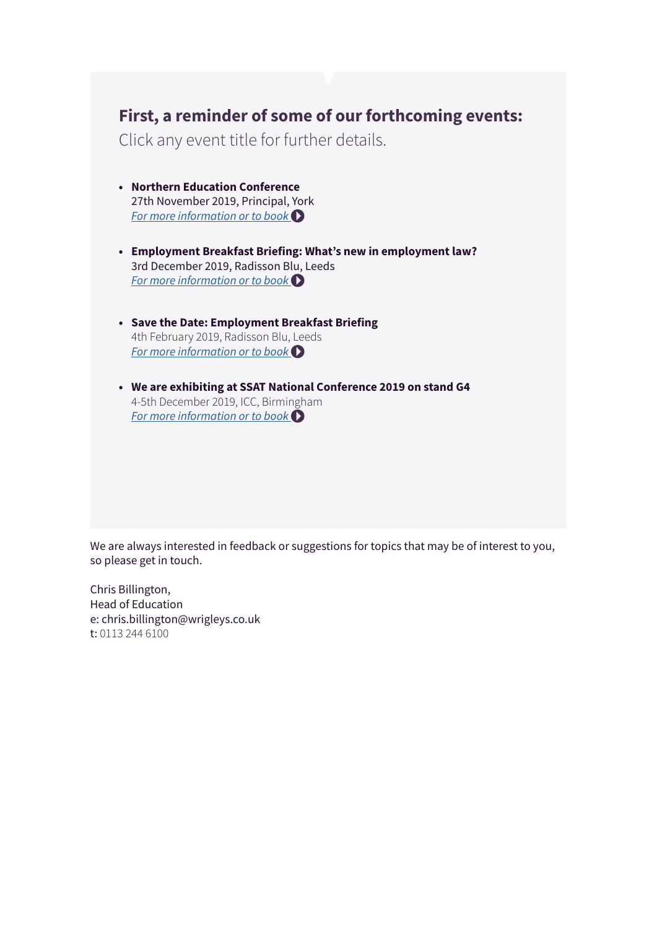# **First, a reminder of some of our forthcoming events:**

Click any event title for further details.

- **• Northern Education Conference** 27th November 2019, Principal, York *[For more information or to book](https://www.wrigleys.co.uk/events/detail/northern-education-conference/)*
- **• Employment Breakfast Briefing: What's new in employment law?** 3rd December 2019, Radisson [Blu, L](https://www.wrigleys.co.uk/events/detail/employment-breakfast-briefing--3rd-december/)eeds *[For more information or to book](https://www.wrigleys.co.uk/events/detail/employment-breakfast-briefing--3rd-december/)*
- **• Save the Date: Employment Breakfast Briefing** 4th February 2019, Radisson Blu, Leeds *[For more information or to book](https://www.wrigleys.co.uk/events/detail/save-the-date-employment-breakfast-briefing/)*
- **• We are exhibiting at SSAT National Conference 2019 on stand G4** 4-5th December 2019, ICC, Birmi[ngh](https://www.ssatuk.co.uk/nc19/booking-form/)am *[For more information or to book](https://www.ssatuk.co.uk/nc19/booking-form/)*

We are always interested in feedback or suggestions for topics that may be of interest to you, so please get in touch.

Chris Billington, Head of Education e: chris.billington@wrigleys.co.uk t: 0113 244 6100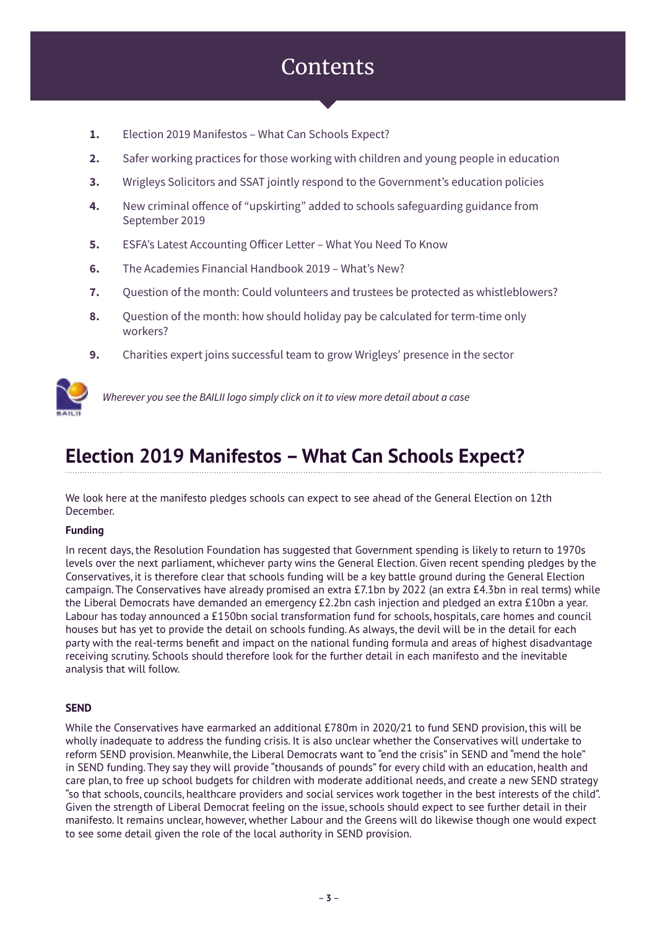# **Contents**

- **1.** Election 2019 Manifestos What Can Schools Expect?
- **2.** Safer working practices for those working with children and young people in education
- **3.** Wrigleys Solicitors and SSAT jointly respond to the Government's education policies
- **4.** New criminal offence of "upskirting" added to schools safeguarding guidance from September 2019
- **5.** ESFA's Latest Accounting Officer Letter What You Need To Know
- **6.** The Academies Financial Handbook 2019 What's New?
- **7.** Question of the month: Could volunteers and trustees be protected as whistleblowers?
- **8.** Question of the month: how should holiday pay be calculated for term-time only workers?
- **9.** Charities expert joins successful team to grow Wrigleys' presence in the sector



*Wherever you see the BAILII logo simply click on it to view more detail about a case*

# **Election 2019 Manifestos – What Can Schools Expect?**

We look here at the manifesto pledges schools can expect to see ahead of the General Election on 12th December.

# **Funding**

In recent days, the Resolution Foundation has suggested that Government spending is likely to return to 1970s levels over the next parliament, whichever party wins the General Election. Given recent spending pledges by the Conservatives, it is therefore clear that schools funding will be a key battle ground during the General Election campaign. The Conservatives have already promised an extra £7.1bn by 2022 (an extra £4.3bn in real terms) while the Liberal Democrats have demanded an emergency £2.2bn cash injection and pledged an extra £10bn a year. Labour has today announced a £150bn social transformation fund for schools, hospitals, care homes and council houses but has yet to provide the detail on schools funding. As always, the devil will be in the detail for each party with the real-terms benefit and impact on the national funding formula and areas of highest disadvantage receiving scrutiny. Schools should therefore look for the further detail in each manifesto and the inevitable analysis that will follow.

# **SEND**

While the Conservatives have earmarked an additional £780m in 2020/21 to fund SEND provision, this will be wholly inadequate to address the funding crisis. It is also unclear whether the Conservatives will undertake to reform SEND provision. Meanwhile, the Liberal Democrats want to "end the crisis" in SEND and "mend the hole" in SEND funding. They say they will provide "thousands of pounds" for every child with an education, health and care plan, to free up school budgets for children with moderate additional needs, and create a new SEND strategy "so that schools, councils, healthcare providers and social services work together in the best interests of the child". Given the strength of Liberal Democrat feeling on the issue, schools should expect to see further detail in their manifesto. It remains unclear, however, whether Labour and the Greens will do likewise though one would expect to see some detail given the role of the local authority in SEND provision.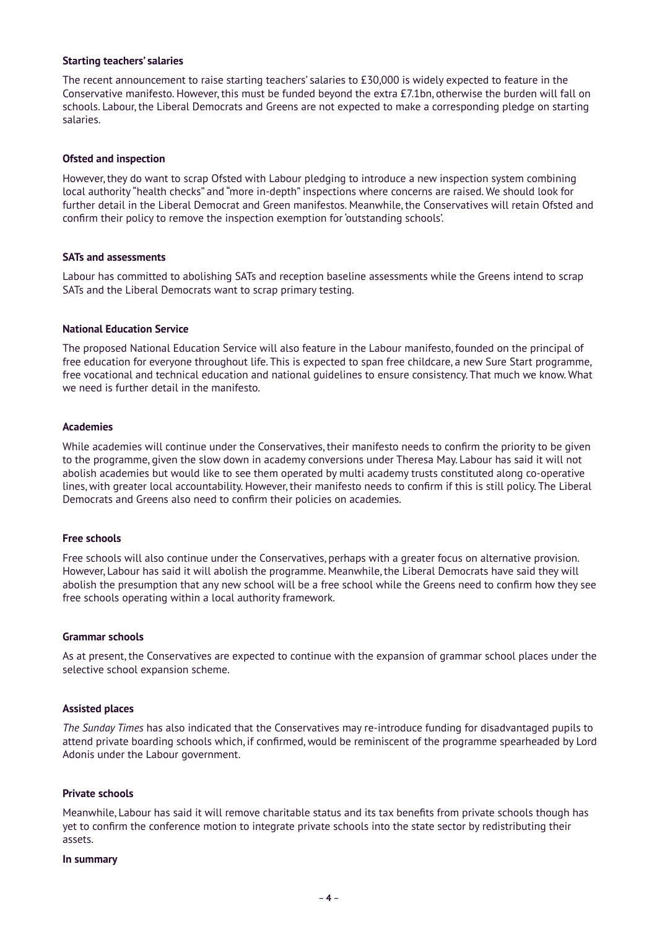#### **Starting teachers' salaries**

The recent announcement to raise starting teachers' salaries to £30,000 is widely expected to feature in the Conservative manifesto. However, this must be funded beyond the extra £7.1bn, otherwise the burden will fall on schools. Labour, the Liberal Democrats and Greens are not expected to make a corresponding pledge on starting salaries.

### **Ofsted and inspection**

However, they do want to scrap Ofsted with Labour pledging to introduce a new inspection system combining local authority "health checks" and "more in-depth" inspections where concerns are raised. We should look for further detail in the Liberal Democrat and Green manifestos. Meanwhile, the Conservatives will retain Ofsted and confirm their policy to remove the inspection exemption for 'outstanding schools'.

#### **SATs and assessments**

Labour has committed to abolishing SATs and reception baseline assessments while the Greens intend to scrap SATs and the Liberal Democrats want to scrap primary testing.

#### **National Education Service**

The proposed National Education Service will also feature in the Labour manifesto, founded on the principal of free education for everyone throughout life. This is expected to span free childcare, a new Sure Start programme, free vocational and technical education and national guidelines to ensure consistency. That much we know. What we need is further detail in the manifesto.

#### **Academies**

While academies will continue under the Conservatives, their manifesto needs to confirm the priority to be given to the programme, given the slow down in academy conversions under Theresa May. Labour has said it will not abolish academies but would like to see them operated by multi academy trusts constituted along co-operative lines, with greater local accountability. However, their manifesto needs to confirm if this is still policy. The Liberal Democrats and Greens also need to confirm their policies on academies.

### **Free schools**

Free schools will also continue under the Conservatives, perhaps with a greater focus on alternative provision. However, Labour has said it will abolish the programme. Meanwhile, the Liberal Democrats have said they will abolish the presumption that any new school will be a free school while the Greens need to confirm how they see free schools operating within a local authority framework.

#### **Grammar schools**

As at present, the Conservatives are expected to continue with the expansion of grammar school places under the selective school expansion scheme.

#### **Assisted places**

*The Sunday Times* has also indicated that the Conservatives may re-introduce funding for disadvantaged pupils to attend private boarding schools which, if confirmed, would be reminiscent of the programme spearheaded by Lord Adonis under the Labour government.

#### **Private schools**

Meanwhile, Labour has said it will remove charitable status and its tax benefits from private schools though has yet to confirm the conference motion to integrate private schools into the state sector by redistributing their assets.

#### **In summary**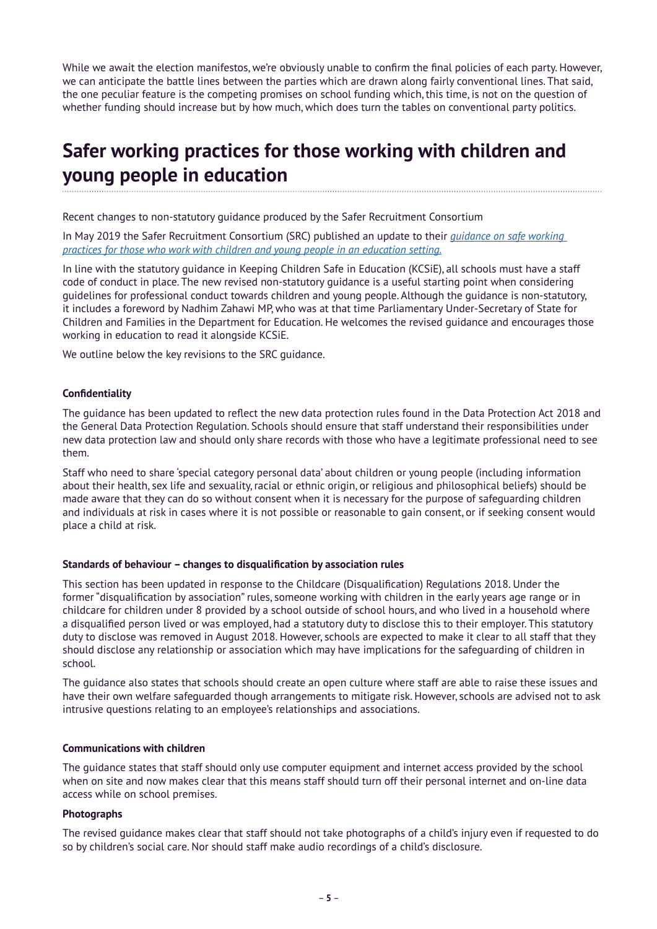While we await the election manifestos, we're obviously unable to confirm the final policies of each party. However, we can anticipate the battle lines between the parties which are drawn along fairly conventional lines. That said, the one peculiar feature is the competing promises on school funding which, this time, is not on the question of whether funding should increase but by how much, which does turn the tables on conventional party politics.

# **Safer working practices for those working with children and young people in education**

Recent changes to non-statutory guidance produced by the Safer Recruitment Consortium

In May 2019 the Safer Recruitment Consortium (SRC) published an update to their *[guidance on safe working](https://www.saferrecruitmentconsortium.org/GSWP%20Sept%202019.pdf)  [practices for those who work with children and young people in an education setting.](https://www.saferrecruitmentconsortium.org/GSWP%20Sept%202019.pdf)*

In line with the statutory guidance in Keeping Children Safe in Education (KCSiE), all schools must have a staff code of conduct in place. The new revised non-statutory guidance is a useful starting point when considering guidelines for professional conduct towards children and young people. Although the guidance is non-statutory, it includes a foreword by Nadhim Zahawi MP, who was at that time Parliamentary Under-Secretary of State for Children and Families in the Department for Education. He welcomes the revised guidance and encourages those working in education to read it alongside KCSiE.

We outline below the key revisions to the SRC guidance.

# **Confidentiality**

The guidance has been updated to reflect the new data protection rules found in the Data Protection Act 2018 and the General Data Protection Regulation. Schools should ensure that staff understand their responsibilities under new data protection law and should only share records with those who have a legitimate professional need to see them.

Staff who need to share 'special category personal data' about children or young people (including information about their health, sex life and sexuality, racial or ethnic origin, or religious and philosophical beliefs) should be made aware that they can do so without consent when it is necessary for the purpose of safeguarding children and individuals at risk in cases where it is not possible or reasonable to gain consent, or if seeking consent would place a child at risk.

### **Standards of behaviour – changes to disqualification by association rules**

This section has been updated in response to the Childcare (Disqualification) Regulations 2018. Under the former "disqualification by association" rules, someone working with children in the early years age range or in childcare for children under 8 provided by a school outside of school hours, and who lived in a household where a disqualified person lived or was employed, had a statutory duty to disclose this to their employer. This statutory duty to disclose was removed in August 2018. However, schools are expected to make it clear to all staff that they should disclose any relationship or association which may have implications for the safeguarding of children in school.

The guidance also states that schools should create an open culture where staff are able to raise these issues and have their own welfare safeguarded though arrangements to mitigate risk. However, schools are advised not to ask intrusive questions relating to an employee's relationships and associations.

# **Communications with children**

The guidance states that staff should only use computer equipment and internet access provided by the school when on site and now makes clear that this means staff should turn off their personal internet and on-line data access while on school premises.

# **Photographs**

The revised guidance makes clear that staff should not take photographs of a child's injury even if requested to do so by children's social care. Nor should staff make audio recordings of a child's disclosure.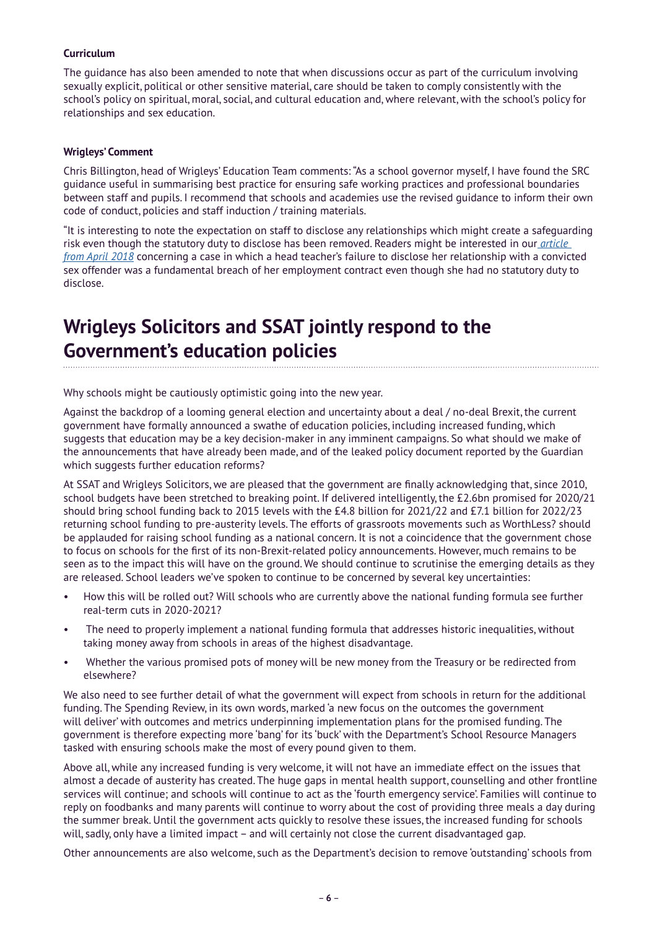# **Curriculum**

The guidance has also been amended to note that when discussions occur as part of the curriculum involving sexually explicit, political or other sensitive material, care should be taken to comply consistently with the school's policy on spiritual, moral, social, and cultural education and, where relevant, with the school's policy for relationships and sex education.

### **Wrigleys' Comment**

Chris Billington, head of Wrigleys' Education Team comments: "As a school governor myself, I have found the SRC guidance useful in summarising best practice for ensuring safe working practices and professional boundaries between staff and pupils. I recommend that schools and academies use the revised guidance to inform their own code of conduct, policies and staff induction / training materials.

"It is interesting to note the expectation on staff to disclose any relationships which might create a safeguarding risk even though the statutory duty to disclose has been removed. Readers might be interested in our *[article](https://www.wrigleys.co.uk/news/education/headteacher-should-have-disclosed-her-relationship-with-a-child-sex-offender-even-though-she-had-no-statutory-duty-to-do-so/)  [from April 2018](https://www.wrigleys.co.uk/news/education/headteacher-should-have-disclosed-her-relationship-with-a-child-sex-offender-even-though-she-had-no-statutory-duty-to-do-so/)* concerning a case in which a head teacher's failure to disclose her relationship with a convicted sex offender was a fundamental breach of her employment contract even though she had no statutory duty to disclose.

# **Wrigleys Solicitors and SSAT jointly respond to the Government's education policies**

Why schools might be cautiously optimistic going into the new year.

Against the backdrop of a looming general election and uncertainty about a deal / no-deal Brexit, the current government have formally announced a swathe of education policies, including increased funding, which suggests that education may be a key decision-maker in any imminent campaigns. So what should we make of the announcements that have already been made, and of the leaked policy document reported by the Guardian which suggests further education reforms?

At SSAT and Wrigleys Solicitors, we are pleased that the government are finally acknowledging that, since 2010, school budgets have been stretched to breaking point. If delivered intelligently, the £2.6bn promised for 2020/21 should bring school funding back to 2015 levels with the £4.8 billion for 2021/22 and £7.1 billion for 2022/23 returning school funding to pre-austerity levels. The efforts of grassroots movements such as WorthLess? should be applauded for raising school funding as a national concern. It is not a coincidence that the government chose to focus on schools for the first of its non-Brexit-related policy announcements. However, much remains to be seen as to the impact this will have on the ground. We should continue to scrutinise the emerging details as they are released. School leaders we've spoken to continue to be concerned by several key uncertainties:

- How this will be rolled out? Will schools who are currently above the national funding formula see further real-term cuts in 2020-2021?
- The need to properly implement a national funding formula that addresses historic inequalities, without taking money away from schools in areas of the highest disadvantage.
- Whether the various promised pots of money will be new money from the Treasury or be redirected from elsewhere?

We also need to see further detail of what the government will expect from schools in return for the additional funding. The Spending Review, in its own words, marked 'a new focus on the outcomes the government will deliver' with outcomes and metrics underpinning implementation plans for the promised funding. The government is therefore expecting more 'bang' for its 'buck' with the Department's School Resource Managers tasked with ensuring schools make the most of every pound given to them.

Above all, while any increased funding is very welcome, it will not have an immediate effect on the issues that almost a decade of austerity has created. The huge gaps in mental health support, counselling and other frontline services will continue; and schools will continue to act as the 'fourth emergency service'. Families will continue to reply on foodbanks and many parents will continue to worry about the cost of providing three meals a day during the summer break. Until the government acts quickly to resolve these issues, the increased funding for schools will, sadly, only have a limited impact – and will certainly not close the current disadvantaged gap.

Other announcements are also welcome, such as the Department's decision to remove 'outstanding' schools from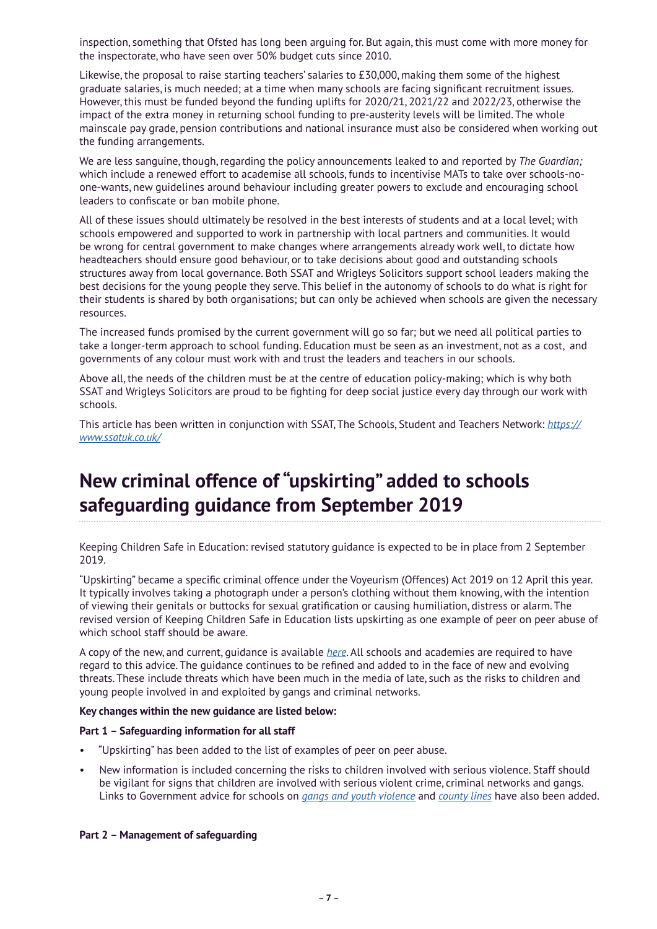inspection, something that Ofsted has long been arguing for. But again, this must come with more money for the inspectorate, who have seen over 50% budget cuts since 2010.

Likewise, the proposal to raise starting teachers' salaries to £30,000, making them some of the highest graduate salaries, is much needed; at a time when many schools are facing significant recruitment issues. However, this must be funded beyond the funding uplifts for 2020/21, 2021/22 and 2022/23, otherwise the impact of the extra money in returning school funding to pre-austerity levels will be limited. The whole mainscale pay grade, pension contributions and national insurance must also be considered when working out the funding arrangements.

We are less sanguine, though, regarding the policy announcements leaked to and reported by *The Guardian;* which include a renewed effort to academise all schools, funds to incentivise MATs to take over schools-noone-wants, new guidelines around behaviour including greater powers to exclude and encouraging school leaders to confiscate or ban mobile phone.

All of these issues should ultimately be resolved in the best interests of students and at a local level; with schools empowered and supported to work in partnership with local partners and communities. It would be wrong for central government to make changes where arrangements already work well, to dictate how headteachers should ensure good behaviour, or to take decisions about good and outstanding schools structures away from local governance. Both SSAT and Wrigleys Solicitors support school leaders making the best decisions for the young people they serve. This belief in the autonomy of schools to do what is right for their students is shared by both organisations; but can only be achieved when schools are given the necessary resources.

The increased funds promised by the current government will go so far; but we need all political parties to take a longer-term approach to school funding. Education must be seen as an investment, not as a cost, and governments of any colour must work with and trust the leaders and teachers in our schools.

Above all, the needs of the children must be at the centre of education policy-making; which is why both SSAT and Wrigleys Solicitors are proud to be fighting for deep social justice every day through our work with schools.

This article has been written in conjunction with SSAT, The Schools, Student and Teachers Network: *[https://](http://Wrigleys Solicitors and SSAT jointly respond to the Government’s education policies

) [www.ssatuk.co.uk/](http://Wrigleys Solicitors and SSAT jointly respond to the Government’s education policies

)*

# **New criminal offence of "upskirting" added to schools safeguarding guidance from September 2019**

Keeping Children Safe in Education: revised statutory guidance is expected to be in place from 2 September 2019.

"Upskirting" became a specific criminal offence under the Voyeurism (Offences) Act 2019 on 12 April this year. It typically involves taking a photograph under a person's clothing without them knowing, with the intention of viewing their genitals or buttocks for sexual gratification or causing humiliation, distress or alarm. The revised version of Keeping Children Safe in Education lists upskirting as one example of peer on peer abuse of which school staff should be aware.

A copy of the new, and current, guidance is available *[here](https://www.gov.uk/government/publications/keeping-children-safe-in-education--2)*. All schools and academies are required to have regard to this advice. The guidance continues to be refined and added to in the face of new and evolving threats. These include threats which have been much in the media of late, such as the risks to children and young people involved in and exploited by gangs and criminal networks.

# **Key changes within the new guidance are listed below:**

### **Part 1 – Safeguarding information for all staff**

- "Upskirting" has been added to the list of examples of peer on peer abuse.
- New information is included concerning the risks to children involved with serious violence. Staff should be vigilant for signs that children are involved with serious violent crime, criminal networks and gangs. Links to Government advice for schools on *[gangs and youth violence](https://www.gov.uk/government/publications/advice-to-schools-and-colleges-on-gangs-and-youth-violence)* and *[county lines](https://www.gov.uk/government/publications/criminal-exploitation-of-children-and-vulnerable-adults-county-lines)* have also been added.

### **Part 2 – Management of safeguarding**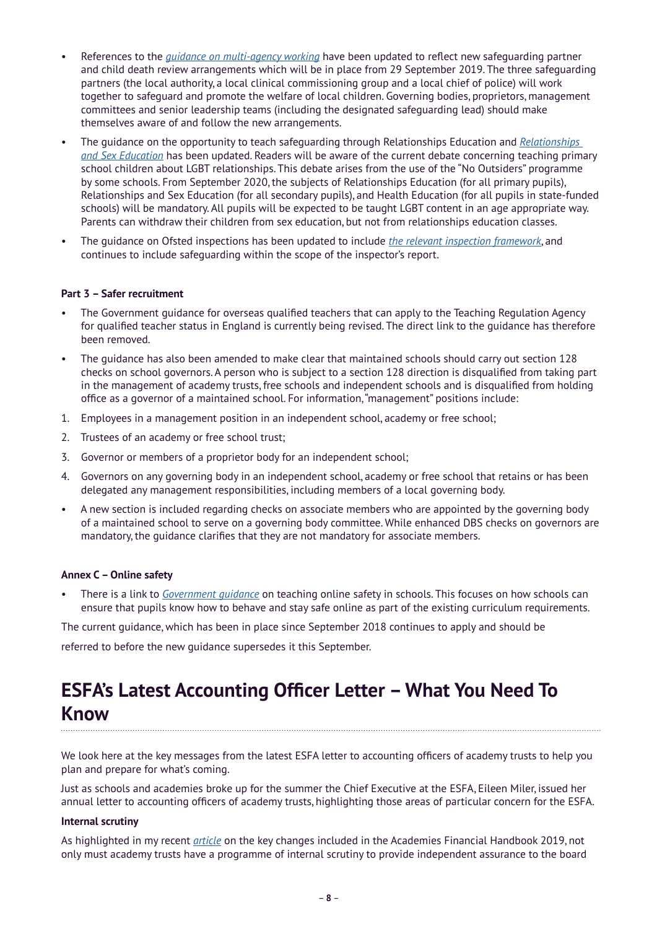- References to the *[guidance on multi-agency working](https://www.gov.uk/government/publications/working-together-to-safeguard-children--2)* have been updated to reflect new safeguarding partner and child death review arrangements which will be in place from 29 September 2019. The three safeguarding partners (the local authority, a local clinical commissioning group and a local chief of police) will work together to safeguard and promote the welfare of local children. Governing bodies, proprietors, management committees and senior leadership teams (including the designated safeguarding lead) should make themselves aware of and follow the new arrangements.
- The guidance on the opportunity to teach safeguarding through Relationships Education and *[Relationships](https://www.gov.uk/government/publications/relationships-education-relationships-and-sex-education-rse-and-health-education)  [and Sex Education](https://www.gov.uk/government/publications/relationships-education-relationships-and-sex-education-rse-and-health-education)* has been updated. Readers will be aware of the current debate concerning teaching primary school children about LGBT relationships. This debate arises from the use of the "No Outsiders" programme by some schools. From September 2020, the subjects of Relationships Education (for all primary pupils), Relationships and Sex Education (for all secondary pupils), and Health Education (for all pupils in state-funded schools) will be mandatory. All pupils will be expected to be taught LGBT content in an age appropriate way. Parents can withdraw their children from sex education, but not from relationships education classes.
- The guidance on Ofsted inspections has been updated to include *[the relevant inspection framework](https://www.gov.uk/government/publications/education-inspection-framework)*, and continues to include safeguarding within the scope of the inspector's report.

# **Part 3 – Safer recruitment**

- The Government guidance for overseas qualified teachers that can apply to the Teaching Regulation Agency for qualified teacher status in England is currently being revised. The direct link to the guidance has therefore been removed.
- The guidance has also been amended to make clear that maintained schools should carry out section 128 checks on school governors. A person who is subject to a section 128 direction is disqualified from taking part in the management of academy trusts, free schools and independent schools and is disqualified from holding office as a governor of a maintained school. For information, "management" positions include:
- 1. Employees in a management position in an independent school, academy or free school;
- 2. Trustees of an academy or free school trust;
- 3. Governor or members of a proprietor body for an independent school;
- 4. Governors on any governing body in an independent school, academy or free school that retains or has been delegated any management responsibilities, including members of a local governing body.
- A new section is included regarding checks on associate members who are appointed by the governing body of a maintained school to serve on a governing body committee. While enhanced DBS checks on governors are mandatory, the guidance clarifies that they are not mandatory for associate members.

### **Annex C – Online safety**

• There is a link to *[Government guidance](https://www.gov.uk/government/publications/teaching-online-safety-in-schools)* on teaching online safety in schools. This focuses on how schools can ensure that pupils know how to behave and stay safe online as part of the existing curriculum requirements.

The current guidance, which has been in place since September 2018 continues to apply and should be

referred to before the new guidance supersedes it this September.

# **ESFA's Latest Accounting Officer Letter – What You Need To Know**

We look here at the key messages from the latest ESFA letter to accounting officers of academy trusts to help you plan and prepare for what's coming.

Just as schools and academies broke up for the summer the Chief Executive at the ESFA, Eileen Miler, issued her annual letter to accounting officers of academy trusts, highlighting those areas of particular concern for the ESFA.

# **Internal scrutiny**

As highlighted in my recent *[article](https://www.wrigleys.co.uk/news/education/the-academies-financial-handbook-2019--whats-new/)* on the key changes included in the Academies Financial Handbook 2019, not only must academy trusts have a programme of internal scrutiny to provide independent assurance to the board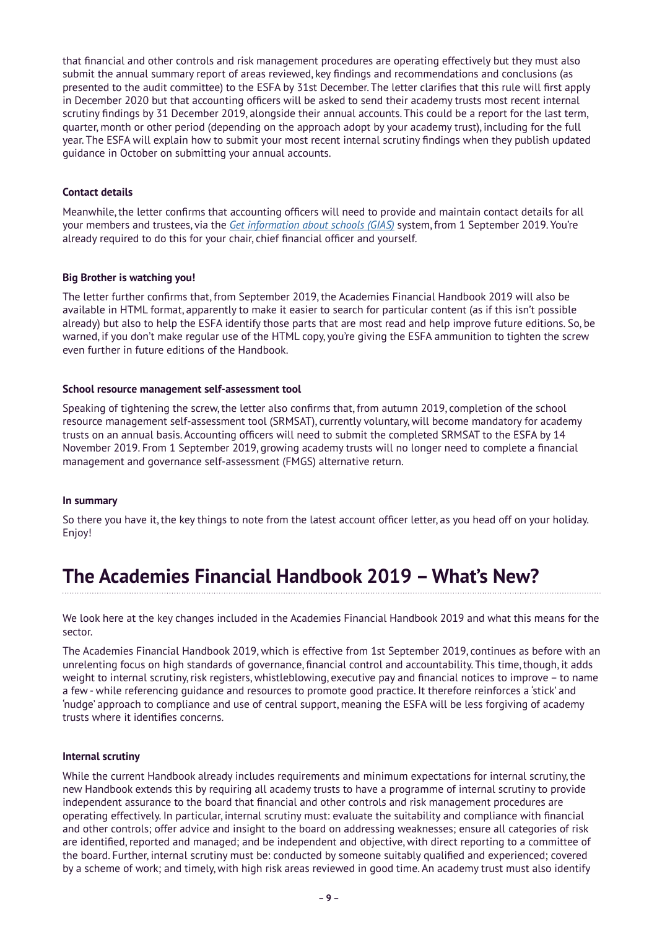that financial and other controls and risk management procedures are operating effectively but they must also submit the annual summary report of areas reviewed, key findings and recommendations and conclusions (as presented to the audit committee) to the ESFA by 31st December. The letter clarifies that this rule will first apply in December 2020 but that accounting officers will be asked to send their academy trusts most recent internal scrutiny findings by 31 December 2019, alongside their annual accounts. This could be a report for the last term, quarter, month or other period (depending on the approach adopt by your academy trust), including for the full year. The ESFA will explain how to submit your most recent internal scrutiny findings when they publish updated guidance in October on submitting your annual accounts.

# **Contact details**

Meanwhile, the letter confirms that accounting officers will need to provide and maintain contact details for all your members and trustees, via the *[Get information about schools \(GIAS\)](https://get-information-schools.service.gov.uk/)* system, from 1 September 2019. You're already required to do this for your chair, chief financial officer and yourself.

# **Big Brother is watching you!**

The letter further confirms that, from September 2019, the Academies Financial Handbook 2019 will also be available in HTML format, apparently to make it easier to search for particular content (as if this isn't possible already) but also to help the ESFA identify those parts that are most read and help improve future editions. So, be warned, if you don't make regular use of the HTML copy, you're giving the ESFA ammunition to tighten the screw even further in future editions of the Handbook.

# **School resource management self-assessment tool**

Speaking of tightening the screw, the letter also confirms that, from autumn 2019, completion of the school resource management self-assessment tool (SRMSAT), currently voluntary, will become mandatory for academy trusts on an annual basis. Accounting officers will need to submit the completed SRMSAT to the ESFA by 14 November 2019. From 1 September 2019, growing academy trusts will no longer need to complete a financial management and governance self-assessment (FMGS) alternative return.

# **In summary**

So there you have it, the key things to note from the latest account officer letter, as you head off on your holiday. Enjoy!

# **The Academies Financial Handbook 2019 – What's New?**

We look here at the key changes included in the Academies Financial Handbook 2019 and what this means for the sector.

The Academies Financial Handbook 2019, which is effective from 1st September 2019, continues as before with an unrelenting focus on high standards of governance, financial control and accountability. This time, though, it adds weight to internal scrutiny, risk registers, whistleblowing, executive pay and financial notices to improve – to name a few - while referencing guidance and resources to promote good practice. It therefore reinforces a 'stick' and 'nudge' approach to compliance and use of central support, meaning the ESFA will be less forgiving of academy trusts where it identifies concerns.

# **Internal scrutiny**

While the current Handbook already includes requirements and minimum expectations for internal scrutiny, the new Handbook extends this by requiring all academy trusts to have a programme of internal scrutiny to provide independent assurance to the board that financial and other controls and risk management procedures are operating effectively. In particular, internal scrutiny must: evaluate the suitability and compliance with financial and other controls; offer advice and insight to the board on addressing weaknesses; ensure all categories of risk are identified, reported and managed; and be independent and objective, with direct reporting to a committee of the board. Further, internal scrutiny must be: conducted by someone suitably qualified and experienced; covered by a scheme of work; and timely, with high risk areas reviewed in good time. An academy trust must also identify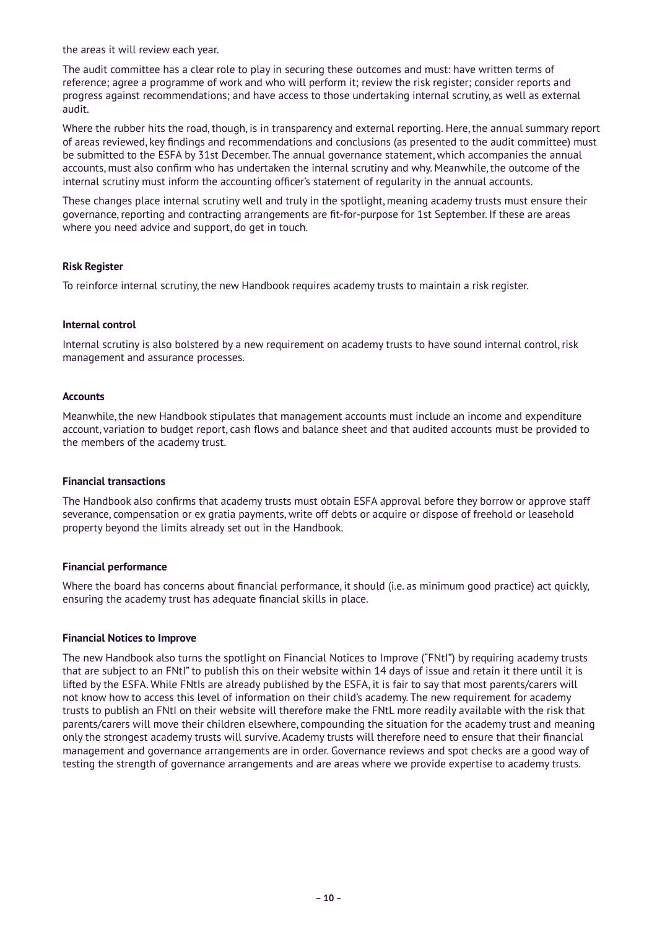the areas it will review each year.

The audit committee has a clear role to play in securing these outcomes and must: have written terms of reference; agree a programme of work and who will perform it; review the risk register; consider reports and progress against recommendations; and have access to those undertaking internal scrutiny, as well as external audit.

Where the rubber hits the road, though, is in transparency and external reporting. Here, the annual summary report of areas reviewed, key findings and recommendations and conclusions (as presented to the audit committee) must be submitted to the ESFA by 31st December. The annual governance statement, which accompanies the annual accounts, must also confirm who has undertaken the internal scrutiny and why. Meanwhile, the outcome of the internal scrutiny must inform the accounting officer's statement of regularity in the annual accounts.

These changes place internal scrutiny well and truly in the spotlight, meaning academy trusts must ensure their governance, reporting and contracting arrangements are fit-for-purpose for 1st September. If these are areas where you need advice and support, do get in touch.

### **Risk Register**

To reinforce internal scrutiny, the new Handbook requires academy trusts to maintain a risk register.

### **Internal control**

Internal scrutiny is also bolstered by a new requirement on academy trusts to have sound internal control, risk management and assurance processes.

### **Accounts**

Meanwhile, the new Handbook stipulates that management accounts must include an income and expenditure account, variation to budget report, cash flows and balance sheet and that audited accounts must be provided to the members of the academy trust.

### **Financial transactions**

The Handbook also confirms that academy trusts must obtain ESFA approval before they borrow or approve staff severance, compensation or ex gratia payments, write off debts or acquire or dispose of freehold or leasehold property beyond the limits already set out in the Handbook.

### **Financial performance**

Where the board has concerns about financial performance, it should (i.e. as minimum good practice) act quickly, ensuring the academy trust has adequate financial skills in place.

### **Financial Notices to Improve**

The new Handbook also turns the spotlight on Financial Notices to Improve ("FNtI") by requiring academy trusts that are subject to an FNtI" to publish this on their website within 14 days of issue and retain it there until it is lifted by the ESFA. While FNtIs are already published by the ESFA, it is fair to say that most parents/carers will not know how to access this level of information on their child's academy. The new requirement for academy trusts to publish an FNtI on their website will therefore make the FNtL more readily available with the risk that parents/carers will move their children elsewhere, compounding the situation for the academy trust and meaning only the strongest academy trusts will survive. Academy trusts will therefore need to ensure that their financial management and governance arrangements are in order. Governance reviews and spot checks are a good way of testing the strength of governance arrangements and are areas where we provide expertise to academy trusts.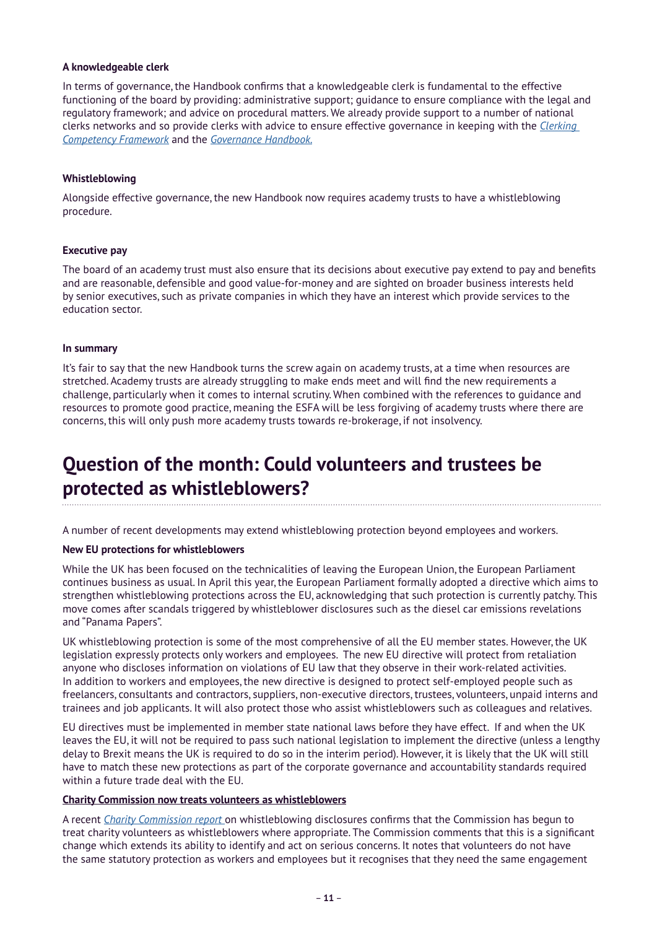# **A knowledgeable clerk**

In terms of governance, the Handbook confirms that a knowledgeable clerk is fundamental to the effective functioning of the board by providing: administrative support; guidance to ensure compliance with the legal and regulatory framework; and advice on procedural matters. We already provide support to a number of national clerks networks and so provide clerks with advice to ensure effective governance in keeping with the *[Clerking](https://assets.publishing.service.gov.uk/government/uploads/system/uploads/attachment_data/file/609971/Clerking_competency_framework.pdf)  [Competency Framework](https://assets.publishing.service.gov.uk/government/uploads/system/uploads/attachment_data/file/609971/Clerking_competency_framework.pdf)* and the *[Governance Handbook.](https://assets.publishing.service.gov.uk/government/uploads/system/uploads/attachment_data/file/788234/governance_handbook_2019.pdf)*

### **Whistleblowing**

Alongside effective governance, the new Handbook now requires academy trusts to have a whistleblowing procedure.

# **Executive pay**

The board of an academy trust must also ensure that its decisions about executive pay extend to pay and benefits and are reasonable, defensible and good value-for-money and are sighted on broader business interests held by senior executives, such as private companies in which they have an interest which provide services to the education sector.

### **In summary**

It's fair to say that the new Handbook turns the screw again on academy trusts, at a time when resources are stretched. Academy trusts are already struggling to make ends meet and will find the new requirements a challenge, particularly when it comes to internal scrutiny. When combined with the references to guidance and resources to promote good practice, meaning the ESFA will be less forgiving of academy trusts where there are concerns, this will only push more academy trusts towards re-brokerage, if not insolvency.

# **Question of the month: Could volunteers and trustees be protected as whistleblowers?**

A number of recent developments may extend whistleblowing protection beyond employees and workers.

# **New EU protections for whistleblowers**

While the UK has been focused on the technicalities of leaving the European Union, the European Parliament continues business as usual. In April this year, the European Parliament formally adopted a directive which aims to strengthen whistleblowing protections across the EU, acknowledging that such protection is currently patchy. This move comes after scandals triggered by whistleblower disclosures such as the diesel car emissions revelations and "Panama Papers".

UK whistleblowing protection is some of the most comprehensive of all the EU member states. However, the UK legislation expressly protects only workers and employees. The new EU directive will protect from retaliation anyone who discloses information on violations of EU law that they observe in their work-related activities. In addition to workers and employees, the new directive is designed to protect self-employed people such as freelancers, consultants and contractors, suppliers, non-executive directors, trustees, volunteers, unpaid interns and trainees and job applicants. It will also protect those who assist whistleblowers such as colleagues and relatives.

EU directives must be implemented in member state national laws before they have effect. If and when the UK leaves the EU, it will not be required to pass such national legislation to implement the directive (unless a lengthy delay to Brexit means the UK is required to do so in the interim period). However, it is likely that the UK will still have to match these new protections as part of the corporate governance and accountability standards required within a future trade deal with the EU.

### **Charity Commission now treats volunteers as whistleblowers**

A recent *[Charity Commission report](https://www.gov.uk/government/publications/whistleblowing-disclosures-made-to-the-charity-commission-for-england-and-wales-2018-to-2019)* on whistleblowing disclosures confirms that the Commission has begun to treat charity volunteers as whistleblowers where appropriate. The Commission comments that this is a significant change which extends its ability to identify and act on serious concerns. It notes that volunteers do not have the same statutory protection as workers and employees but it recognises that they need the same engagement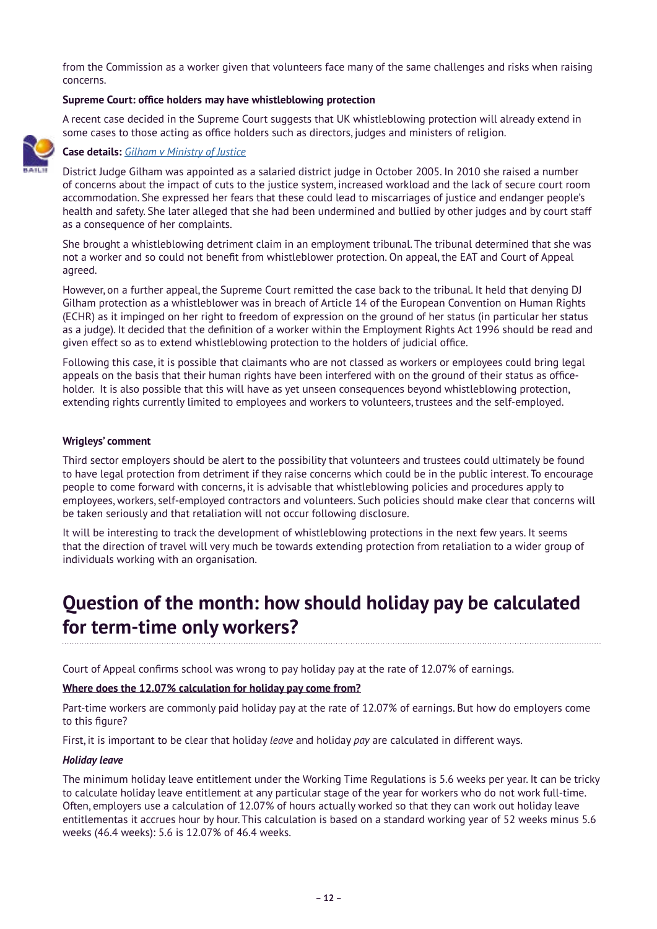from the Commission as a worker given that volunteers face many of the same challenges and risks when raising concerns.

# **Supreme Court: office holders may have whistleblowing protection**

A recent case decided in the Supreme Court suggests that UK whistleblowing protection will already extend in some cases to those acting as office holders such as directors, judges and ministers of religion.



# **Case details:** *[Gilham v Ministry of Justice](https://www.bailii.org/uk/cases/UKSC/2019/44.html)*

District Judge Gilham was appointed as a salaried district judge in October 2005. In 2010 she raised a number of concerns about the impact of cuts to the justice system, increased workload and the lack of secure court room accommodation. She expressed her fears that these could lead to miscarriages of justice and endanger people's health and safety. She later alleged that she had been undermined and bullied by other judges and by court staff as a consequence of her complaints.

She brought a whistleblowing detriment claim in an employment tribunal. The tribunal determined that she was not a worker and so could not benefit from whistleblower protection. On appeal, the EAT and Court of Appeal agreed.

However, on a further appeal, the Supreme Court remitted the case back to the tribunal. It held that denying DJ Gilham protection as a whistleblower was in breach of Article 14 of the European Convention on Human Rights (ECHR) as it impinged on her right to freedom of expression on the ground of her status (in particular her status as a judge). It decided that the definition of a worker within the Employment Rights Act 1996 should be read and given effect so as to extend whistleblowing protection to the holders of judicial office.

Following this case, it is possible that claimants who are not classed as workers or employees could bring legal appeals on the basis that their human rights have been interfered with on the ground of their status as officeholder. It is also possible that this will have as yet unseen consequences beyond whistleblowing protection, extending rights currently limited to employees and workers to volunteers, trustees and the self-employed.

# **Wrigleys' comment**

Third sector employers should be alert to the possibility that volunteers and trustees could ultimately be found to have legal protection from detriment if they raise concerns which could be in the public interest. To encourage people to come forward with concerns, it is advisable that whistleblowing policies and procedures apply to employees, workers, self-employed contractors and volunteers. Such policies should make clear that concerns will be taken seriously and that retaliation will not occur following disclosure.

It will be interesting to track the development of whistleblowing protections in the next few years. It seems that the direction of travel will very much be towards extending protection from retaliation to a wider group of individuals working with an organisation.

# **Question of the month: how should holiday pay be calculated for term-time only workers?**

Court of Appeal confirms school was wrong to pay holiday pay at the rate of 12.07% of earnings.

### **Where does the 12.07% calculation for holiday pay come from?**

Part-time workers are commonly paid holiday pay at the rate of 12.07% of earnings. But how do employers come to this figure?

First, it is important to be clear that holiday *leave* and holiday *pay* are calculated in different ways.

#### *Holiday leave*

The minimum holiday leave entitlement under the Working Time Regulations is 5.6 weeks per year. It can be tricky to calculate holiday leave entitlement at any particular stage of the year for workers who do not work full-time. Often, employers use a calculation of 12.07% of hours actually worked so that they can work out holiday leave entitlementas it accrues hour by hour. This calculation is based on a standard working year of 52 weeks minus 5.6 weeks (46.4 weeks): 5.6 is 12.07% of 46.4 weeks.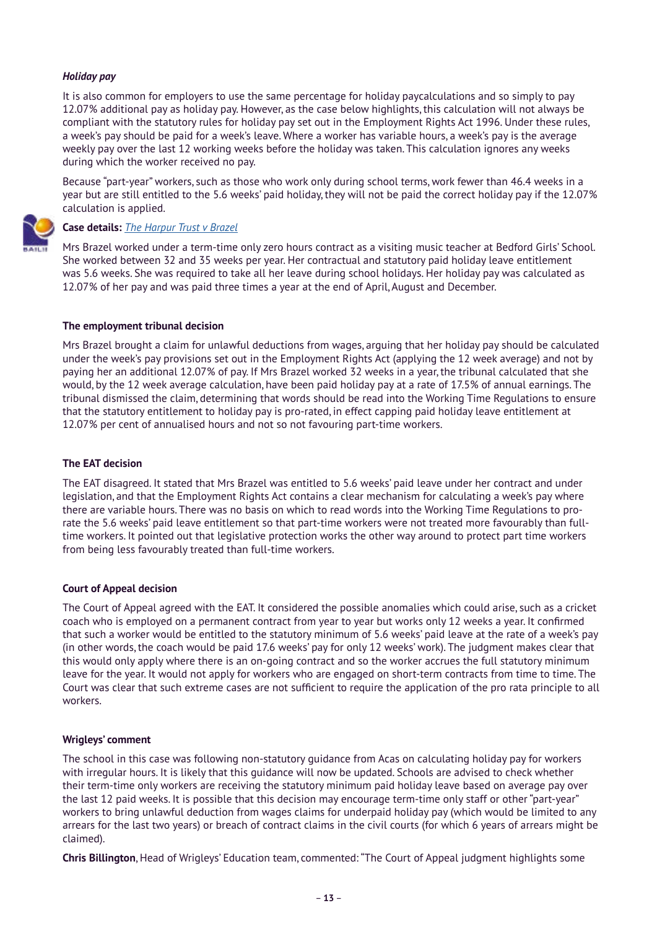# *Holiday pay*

It is also common for employers to use the same percentage for holiday paycalculations and so simply to pay 12.07% additional pay as holiday pay. However, as the case below highlights, this calculation will not always be compliant with the statutory rules for holiday pay set out in the Employment Rights Act 1996. Under these rules, a week's pay should be paid for a week's leave. Where a worker has variable hours, a week's pay is the average weekly pay over the last 12 working weeks before the holiday was taken. This calculation ignores any weeks during which the worker received no pay.

Because "part-year" workers, such as those who work only during school terms, work fewer than 46.4 weeks in a year but are still entitled to the 5.6 weeks' paid holiday, they will not be paid the correct holiday pay if the 12.07% calculation is applied.

# **Case details:** *[The Harpur Trust v Brazel](https://www.bailii.org/ew/cases/EWCA/Civ/2019/1402.html)*

Mrs Brazel worked under a term-time only zero hours contract as a visiting music teacher at Bedford Girls' School. She worked between 32 and 35 weeks per year. Her contractual and statutory paid holiday leave entitlement was 5.6 weeks. She was required to take all her leave during school holidays. Her holiday pay was calculated as 12.07% of her pay and was paid three times a year at the end of April, August and December.

### **The employment tribunal decision**

Mrs Brazel brought a claim for unlawful deductions from wages, arguing that her holiday pay should be calculated under the week's pay provisions set out in the Employment Rights Act (applying the 12 week average) and not by paying her an additional 12.07% of pay. If Mrs Brazel worked 32 weeks in a year, the tribunal calculated that she would, by the 12 week average calculation, have been paid holiday pay at a rate of 17.5% of annual earnings. The tribunal dismissed the claim, determining that words should be read into the Working Time Regulations to ensure that the statutory entitlement to holiday pay is pro-rated, in effect capping paid holiday leave entitlement at 12.07% per cent of annualised hours and not so not favouring part-time workers.

### **The EAT decision**

The EAT disagreed. It stated that Mrs Brazel was entitled to 5.6 weeks' paid leave under her contract and under legislation, and that the Employment Rights Act contains a clear mechanism for calculating a week's pay where there are variable hours. There was no basis on which to read words into the Working Time Regulations to prorate the 5.6 weeks' paid leave entitlement so that part-time workers were not treated more favourably than fulltime workers. It pointed out that legislative protection works the other way around to protect part time workers from being less favourably treated than full-time workers.

### **Court of Appeal decision**

The Court of Appeal agreed with the EAT. It considered the possible anomalies which could arise, such as a cricket coach who is employed on a permanent contract from year to year but works only 12 weeks a year. It confirmed that such a worker would be entitled to the statutory minimum of 5.6 weeks' paid leave at the rate of a week's pay (in other words, the coach would be paid 17.6 weeks' pay for only 12 weeks' work). The judgment makes clear that this would only apply where there is an on-going contract and so the worker accrues the full statutory minimum leave for the year. It would not apply for workers who are engaged on short-term contracts from time to time. The Court was clear that such extreme cases are not sufficient to require the application of the pro rata principle to all workers.

### **Wrigleys' comment**

The school in this case was following non-statutory guidance from Acas on calculating holiday pay for workers with irregular hours. It is likely that this guidance will now be updated. Schools are advised to check whether their term-time only workers are receiving the statutory minimum paid holiday leave based on average pay over the last 12 paid weeks. It is possible that this decision may encourage term-time only staff or other "part-year" workers to bring unlawful deduction from wages claims for underpaid holiday pay (which would be limited to any arrears for the last two years) or breach of contract claims in the civil courts (for which 6 years of arrears might be claimed).

**Chris Billington**, Head of Wrigleys' Education team, commented: "The Court of Appeal judgment highlights some